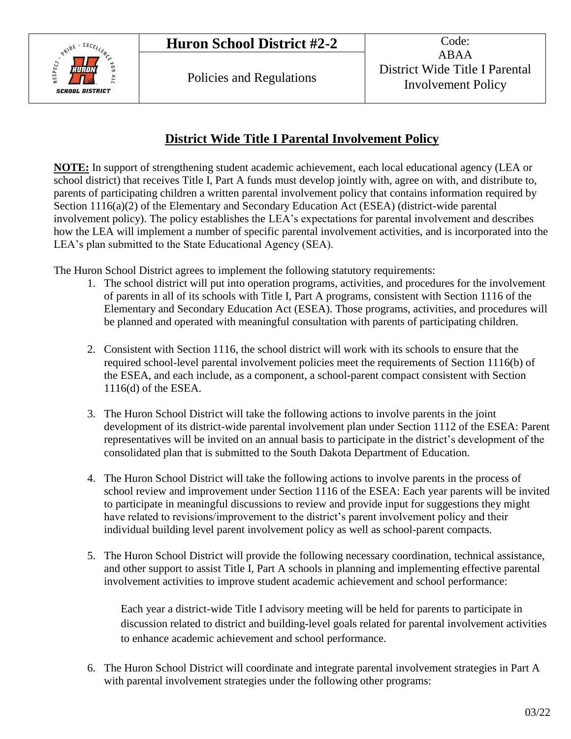

## **District Wide Title I Parental Involvement Policy**

**NOTE:** In support of strengthening student academic achievement, each local educational agency (LEA or school district) that receives Title I, Part A funds must develop jointly with, agree on with, and distribute to, parents of participating children a written parental involvement policy that contains information required by Section 1116(a)(2) of the Elementary and Secondary Education Act (ESEA) (district-wide parental involvement policy). The policy establishes the LEA's expectations for parental involvement and describes how the LEA will implement a number of specific parental involvement activities, and is incorporated into the LEA's plan submitted to the State Educational Agency (SEA).

The Huron School District agrees to implement the following statutory requirements:

- 1. The school district will put into operation programs, activities, and procedures for the involvement of parents in all of its schools with Title I, Part A programs, consistent with Section 1116 of the Elementary and Secondary Education Act (ESEA). Those programs, activities, and procedures will be planned and operated with meaningful consultation with parents of participating children.
- 2. Consistent with Section 1116, the school district will work with its schools to ensure that the required school-level parental involvement policies meet the requirements of Section 1116(b) of the ESEA, and each include, as a component, a school-parent compact consistent with Section 1116(d) of the ESEA.
- 3. The Huron School District will take the following actions to involve parents in the joint development of its district-wide parental involvement plan under Section 1112 of the ESEA: Parent representatives will be invited on an annual basis to participate in the district's development of the consolidated plan that is submitted to the South Dakota Department of Education.
- 4. The Huron School District will take the following actions to involve parents in the process of school review and improvement under Section 1116 of the ESEA: Each year parents will be invited to participate in meaningful discussions to review and provide input for suggestions they might have related to revisions/improvement to the district's parent involvement policy and their individual building level parent involvement policy as well as school-parent compacts.
- 5. The Huron School District will provide the following necessary coordination, technical assistance, and other support to assist Title I, Part A schools in planning and implementing effective parental involvement activities to improve student academic achievement and school performance:

Each year a district-wide Title I advisory meeting will be held for parents to participate in discussion related to district and building-level goals related for parental involvement activities to enhance academic achievement and school performance.

6. The Huron School District will coordinate and integrate parental involvement strategies in Part A with parental involvement strategies under the following other programs: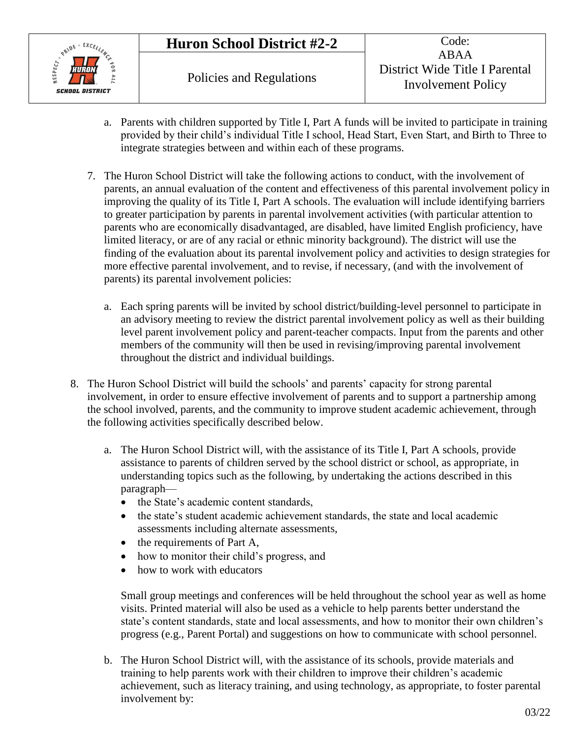## **Huron School District #2-2** Code:



- a. Parents with children supported by Title I, Part A funds will be invited to participate in training provided by their child's individual Title I school, Head Start, Even Start, and Birth to Three to integrate strategies between and within each of these programs.
- 7. The Huron School District will take the following actions to conduct, with the involvement of parents, an annual evaluation of the content and effectiveness of this parental involvement policy in improving the quality of its Title I, Part A schools. The evaluation will include identifying barriers to greater participation by parents in parental involvement activities (with particular attention to parents who are economically disadvantaged, are disabled, have limited English proficiency, have limited literacy, or are of any racial or ethnic minority background). The district will use the finding of the evaluation about its parental involvement policy and activities to design strategies for more effective parental involvement, and to revise, if necessary, (and with the involvement of parents) its parental involvement policies:
	- a. Each spring parents will be invited by school district/building-level personnel to participate in an advisory meeting to review the district parental involvement policy as well as their building level parent involvement policy and parent-teacher compacts. Input from the parents and other members of the community will then be used in revising/improving parental involvement throughout the district and individual buildings.
- 8. The Huron School District will build the schools' and parents' capacity for strong parental involvement, in order to ensure effective involvement of parents and to support a partnership among the school involved, parents, and the community to improve student academic achievement, through the following activities specifically described below.
	- a. The Huron School District will, with the assistance of its Title I, Part A schools, provide assistance to parents of children served by the school district or school, as appropriate, in understanding topics such as the following, by undertaking the actions described in this paragraph—
		- the State's academic content standards,
		- the state's student academic achievement standards, the state and local academic assessments including alternate assessments,
		- $\bullet$  the requirements of Part A,
		- how to monitor their child's progress, and
		- how to work with educators

Small group meetings and conferences will be held throughout the school year as well as home visits. Printed material will also be used as a vehicle to help parents better understand the state's content standards, state and local assessments, and how to monitor their own children's progress (e.g., Parent Portal) and suggestions on how to communicate with school personnel.

b. The Huron School District will, with the assistance of its schools, provide materials and training to help parents work with their children to improve their children's academic achievement, such as literacy training, and using technology, as appropriate, to foster parental involvement by: